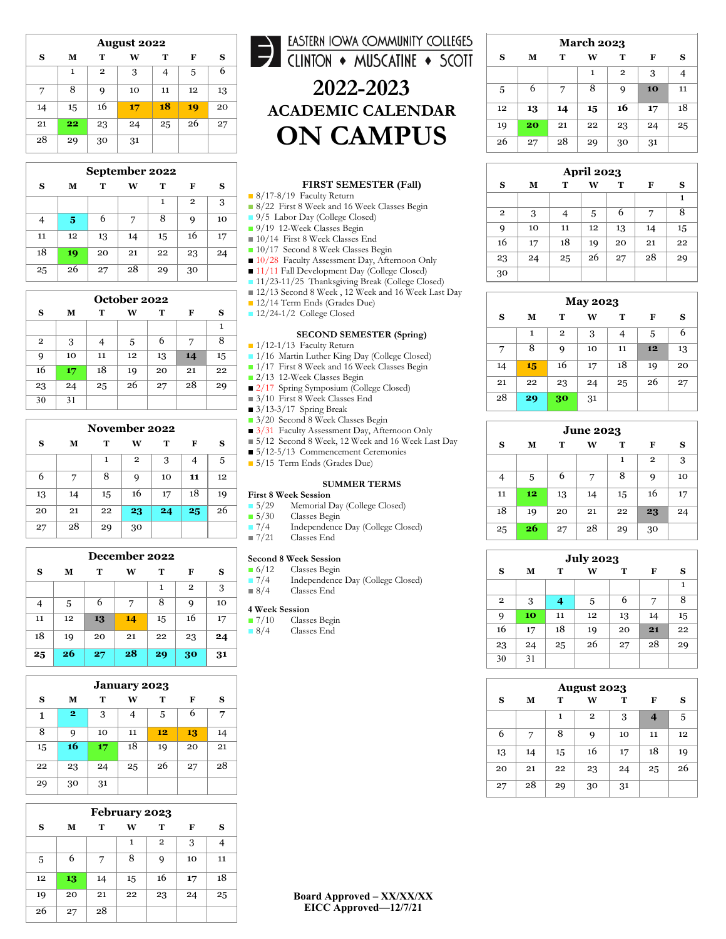| <b>August 2022</b> |    |                |    |    |    |    |  |  |
|--------------------|----|----------------|----|----|----|----|--|--|
| S                  | М  | т              | W  | Т  | F  | S  |  |  |
|                    | 1  | $\overline{2}$ | 3  | 4  | 5  | 6  |  |  |
| 7                  | 8  | 9              | 10 | 11 | 12 | 13 |  |  |
| 14                 | 15 | 16             | 17 | 18 | 19 | 20 |  |  |
| 21                 | 22 | 23             | 24 | 25 | 26 | 27 |  |  |
| 28                 | 29 | 30             | 31 |    |    |    |  |  |

| September 2022 |    |    |    |    |                |    |  |  |
|----------------|----|----|----|----|----------------|----|--|--|
| S              | М  | Т  | W  | т  | F              | S  |  |  |
|                |    |    |    | 1  | $\overline{2}$ | 3  |  |  |
| 4              | 5  | 6  |    | 8  | 9              | 10 |  |  |
| 11             | 12 | 13 | 14 | 15 | 16             | 17 |  |  |
| 18             | 19 | 20 | 21 | 22 | 23             | 24 |  |  |
| 25             | 26 | 27 | 28 | 29 | 30             |    |  |  |

| October 2022 |    |    |    |    |    |    |  |  |
|--------------|----|----|----|----|----|----|--|--|
| S            | М  | т  | W  | т  | F  | S  |  |  |
|              |    |    |    |    |    | 1  |  |  |
| $\mathbf{2}$ | 3  |    | 5  | 6  | 7  | 8  |  |  |
| 9            | 10 | 11 | 12 | 13 | 14 | 15 |  |  |
| 16           | 17 | 18 | 19 | 20 | 21 | 22 |  |  |
| 23           | 24 | 25 | 26 | 27 | 28 | 29 |  |  |
| 30           | 31 |    |    |    |    |    |  |  |

| November 2022 |    |    |    |    |    |    |  |  |  |
|---------------|----|----|----|----|----|----|--|--|--|
| S             | М  | т  | w  | т  | F  | s  |  |  |  |
|               |    | 1  | 2  | 3  | 4  | 5  |  |  |  |
| 6             | 7  | 8  | 9  | 10 | 11 | 12 |  |  |  |
| 13            | 14 | 15 | 16 | 17 | 18 | 19 |  |  |  |
| 20            | 21 | 22 | 23 | 24 | 25 | 26 |  |  |  |
| 27            | 28 | 29 | 30 |    |    |    |  |  |  |

| December 2022 |    |    |    |    |              |    |  |  |
|---------------|----|----|----|----|--------------|----|--|--|
| s             | М  | т  | W  | т  | F            | S  |  |  |
|               |    |    |    | 1  | $\mathbf{2}$ | 3  |  |  |
| 4             | 5  | 6  | 7  | 8  | 9            | 10 |  |  |
| 11            | 12 | 13 | 14 | 15 | 16           | 17 |  |  |
| 18            | 19 | 20 | 21 | 22 | 23           | 24 |  |  |
| 25            | 26 | 27 | 28 | 29 | 30           | 31 |  |  |

| <b>January 2023</b> |                |    |    |    |    |    |  |  |  |
|---------------------|----------------|----|----|----|----|----|--|--|--|
| S                   | М              | т  | W  | т  | F  | s  |  |  |  |
| 1                   | $\overline{2}$ | 3  | 4  | 5  | 6  | 7  |  |  |  |
| 8                   | 9              | 10 | 11 | 12 | 13 | 14 |  |  |  |
| 15                  | 16             | 17 | 18 | 19 | 20 | 21 |  |  |  |
| 22                  | 23             | 24 | 25 | 26 | 27 | 28 |  |  |  |
| 29                  | 30             | 31 |    |    |    |    |  |  |  |

| February 2023 |    |    |    |              |    |    |  |  |
|---------------|----|----|----|--------------|----|----|--|--|
| S             | М  | т  | w  | т            | F  | s  |  |  |
|               |    |    | 1  | $\mathbf{2}$ | 3  |    |  |  |
| 5             | 6  | 7  | 8  | 9            | 10 | 11 |  |  |
| 12            | 13 | 14 | 15 | 16           | 17 | 18 |  |  |
| 19            | 20 | 21 | 22 | 23           | 24 | 25 |  |  |
| 26            | 27 | 28 |    |              |    |    |  |  |

## EASTERN IOWA COMMUNITY COLLEGES **2022 -2023 ACADEMIC CALENDAR ON CAMPUS**

#### **FIRST SEMESTER (Fall)**

■ 8/17-8/19 Faculty Return

- 8/22 First 8 Week and 16 Week Classes Begin
- 9/5 Labor Day (College Closed)
- 9/19 12-Week Classes Begin ■ 10/14 First 8 Week Classes End
- 10/17 Second 8 Week Classes Begin
- 10/28 Faculty Assessment Day, Afternoon Only
- 11/11 Fall Development Day (College Closed)
- 11/23-11/25 Thanksgiving Break (College Closed)
- 12/13 Second 8 Week, 12 Week and 16 Week Last Day
- 12/14 Term Ends (Grades Due)
- 12/24-1/2 College Closed

#### **SECOND SEMESTER (Spring)**

- 1/12-1/13 Faculty Return
- 1/16 Martin Luther King Day (College Closed)
- 1/17 First 8 Week and 16 Week Classes Begin
- 2/13 12-Week Classes Begin
- 2/17 Spring Symposium (College Closed)
- 3/10 First 8 Week Classes End
- $\blacksquare$  3/13-3/17 Spring Break
- 3/20 Second 8 Week Classes Begin
- 3/31 Faculty Assessment Day, Afternoon Only
- 5/12 Second 8 Week, 12 Week and 16 Week Last Day
- 5/12-5/13 Commencement Ceremonies
- 5/15 Term Ends (Grades Due)

#### **SUMMER TERMS**

## **First 8 Week Session**<br>**F**  $5/29$  Memorial D

- 5/29 Memorial Day (College Closed)<br>■ 5/30 Classes Begin
- 5/30 Classes Begin<br>■ 7/4 Independence
	- Independence Day (College Closed)
- 7/21 Classes End

## **Second 8 Week Session**<br>**B** 6/12 Classes Begin

- 6/12 Classes Begin<br>■ 7/4 Independence
- Independence Day (College Closed) ■ 8/4 Classes End

- **4 Week Session** Classes Begin
- 8/4 Classes End

| <b>March 2023</b> |    |    |    |    |    |    |  |
|-------------------|----|----|----|----|----|----|--|
| S                 | М  | т  | W  | т  | F  | S  |  |
|                   |    |    | 1  | 2  | 3  |    |  |
| 5                 | 6  | 7  | 8  | 9  | 10 | 11 |  |
| 12                | 13 | 14 | 15 | 16 | 17 | 18 |  |
| 19                | 20 | 21 | 22 | 23 | 24 | 25 |  |
| 26                | 27 | 28 | 29 | 30 | 31 |    |  |

| <b>April 2023</b> |    |    |    |    |    |    |  |
|-------------------|----|----|----|----|----|----|--|
| S                 | м  | т  | W  | т  | F  | S  |  |
|                   |    |    |    |    |    | 1  |  |
| $\mathbf{2}$      | 3  |    | 5  | 6  | 7  | 8  |  |
| 9                 | 10 | 11 | 12 | 13 | 14 | 15 |  |
| 16                | 17 | 18 | 19 | 20 | 21 | 22 |  |
| 23                | 24 | 25 | 26 | 27 | 28 | 29 |  |
| 30                |    |    |    |    |    |    |  |

| <b>May 2023</b> |    |                |    |    |    |    |  |  |
|-----------------|----|----------------|----|----|----|----|--|--|
| S               | м  | т              | W  | т  | F  | s  |  |  |
|                 | 1  | $\overline{2}$ | 3  | 4  | 5  | 6  |  |  |
| 7               | 8  | 9              | 10 | 11 | 12 | 13 |  |  |
| 14              | 15 | 16             | 17 | 18 | 19 | 20 |  |  |
| 21              | 22 | 23             | 24 | 25 | 26 | 27 |  |  |
| 28              | 29 | 30             | 31 |    |    |    |  |  |

| <b>June 2023</b> |    |    |    |    |              |    |  |  |
|------------------|----|----|----|----|--------------|----|--|--|
| S                | М  | т  | w  | т  | F            | s  |  |  |
|                  |    |    |    | 1  | $\mathbf{2}$ | 3  |  |  |
| 4                | 5  | 6  | 7  | 8  | 9            | 10 |  |  |
| 11               | 12 | 13 | 14 | 15 | 16           | 17 |  |  |
| 18               | 19 | 20 | 21 | 22 | 23           | 24 |  |  |
| 25               | 26 | 27 | 28 | 29 | 30           |    |  |  |

| <b>July 2023</b> |    |    |    |    |    |    |  |  |  |
|------------------|----|----|----|----|----|----|--|--|--|
| S                | М  | т  | W  | т  | F  | S  |  |  |  |
|                  |    |    |    |    |    | 1  |  |  |  |
| $\mathbf{2}$     | 3  | 4  | 5  | 6  | 7  | 8  |  |  |  |
| 9                | 10 | 11 | 12 | 13 | 14 | 15 |  |  |  |
| 16               | 17 | 18 | 19 | 20 | 21 | 22 |  |  |  |
| 23               | 24 | 25 | 26 | 27 | 28 | 29 |  |  |  |
| 30               | 31 |    |    |    |    |    |  |  |  |

| August 2023 |    |    |              |    |                    |    |  |  |
|-------------|----|----|--------------|----|--------------------|----|--|--|
| S           | М  | т  | W            | т  | F                  | S  |  |  |
|             |    | 1  | $\mathbf{2}$ | 3  | $\overline{\bf 4}$ | 5  |  |  |
| 6           | 7  | 8  | 9            | 10 | 11                 | 12 |  |  |
| 13          | 14 | 15 | 16           | 17 | 18                 | 19 |  |  |
| 20          | 21 | 22 | 23           | 24 | 25                 | 26 |  |  |
| 27          | 28 | 29 | 30           | 31 |                    |    |  |  |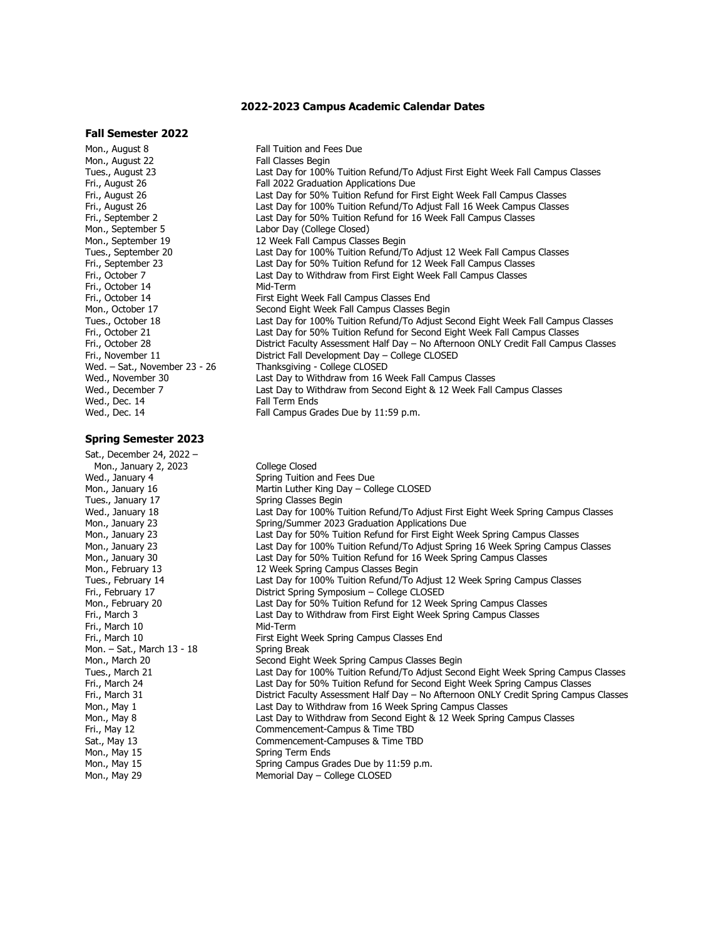#### **2022-2023 Campus Academic Calendar Dates**

#### **Fall Semester 2022**

Mon., August 8 **Fall Tuition and Fees Due**<br>Mon.. August 22 **Fall Classes Begin** Mon., August 22<br>Tues., August 23 Mon., September 5 Labor Day (College Closed)<br>Mon., September 19 12 Week Fall Campus Class Fri., October 14<br>Fri., October 14 Wed., Dec. 14 **Fall Term Ends**<br>
Wed., Dec. 14 **Fall Campus Gram** 

#### **Spring Semester 2023**

Sat., December 24, 2022 – Mon., January 2, 2023<br>Wed., January 4 Spring Tuition Fri., March 10<br>Fri., March 10 Mon. – Sat., March 13 - 18<br>Mon., March 20 Mon., May 15 Spring Term Ends<br>Mon., May 15 Spring Campus Gra

Tues., August 23 **Last Day for 100% Tuition Refund/To Adjust First Eight Week Fall Campus Classes**<br>Fri., August 26 **Fill 2022 Graduation Applications Due** Fri., August 26 **Fall 2022 Graduation Applications Due**<br>Fri., August 26 **Fri., August 26** East Day for 50% Tuition Refund for Fill Fri., August 26 Last Day for 50% Tuition Refund for First Eight Week Fall Campus Classes<br>Fri., August 26 Fri., August 26 Last Day for 100% Tuition Refund/To Adjust Fall 16 Week Campus Classes Fri., August 26 **Last Day for 100% Tuition Refund/To Adjust Fall 16 Week Campus Classes**<br>Fri., September 2 **Refunding Last Day for 50% Tuition Refund for 16 Week Fall Campus Classes** Fri., September 2 **East Day for 50% Tuition Refund for 16 Week Fall Campus Classes**<br>Mon., September 5 **East Act Labor Day (College Closed)** Mon., September 19 12 Week Fall Campus Classes Begin<br>Tues., September 20 12 Uast Day for 100% Tuition Refund/T Tues., September 20 Last Day for 100% Tuition Refund/To Adjust 12 Week Fall Campus Classes Fri., September 23 Last Day for 50% Tuition Refund for 12 Week Fall Campus Classes<br>Fri., October 7 Last Day to Withdraw from First Eight Week Fall Campus Classes Last Day to Withdraw from First Eight Week Fall Campus Classes<br>Mid-Term Fri., October 14 First Eight Week Fall Campus Classes End<br>Mon., October 17 First Eight Week Fall Campus Classes B Mon., October 17 Second Eight Week Fall Campus Classes Begin Tues., October 18 **Last Day for 100% Tuition Refund/To Adjust Second Eight Week Fall Campus Classes**<br>Fri., October 21 **East Day for 50% Tuition Refund for Second Eight Week Fall Campus Classes** Fri., October 21 **Exercise State Last Day for 50% Tuition Refund for Second Eight Week Fall Campus Classes**<br>Fri., October 28 **Exercise State Campus Classes Conducts** Care Not Afternoon ONLY Credit Fall Campus Fri., October 28 **District Faculty Assessment Half Day – No Afternoon ONLY Credit Fall Campus Classes**<br>Fri., November 11 **District Fall Development Day – College CLOSED** Fri., November 11 **District Fall Development Day – College CLOSED**<br>Wed. – Sat., November 23 - 26 Thanksgiving - College CLOSED Wed. – Sat., November 23 - 26 Thanksgiving - College CLOSED<br>Wed., November 30 Last Day to Withdraw from 16 V Wed., November 30 **Last Day to Withdraw from 16 Week Fall Campus Classes** Wed., December 7 **November 20 Last Day to Withdraw from Second Eight & 12 Week Fall** Wed., December 7 **Last Day to Withdraw from Second Eight & 12 Week Fall Campus Classes**<br>Wed., Dec. 14 **Mark Campus Classes** Fall Term Ends Fall Campus Grades Due by 11:59 p.m.

Wed., January 4 Spring Tuition and Fees Due<br>Mon., January 16 Martin Luther King Day – Col Mon., January 16 **Martin Luther King Day – College CLOSED**<br>Tues., January 17 **Martin Classes Begin** Spring Classes Begin Wed., January 18 **Last Day for 100% Tuition Refund/To Adjust First Eight Week Spring Campus Classes**<br>Mon., January 23 **Montage Spring Cammer 2023 Graduation Applications Due** Mon., January 23 Spring/Summer 2023 Graduation Applications Due<br>Mon., January 23 Spring Last Day for 50% Tuition Refund for First Eight We Mon., January 23 **Last Day for 50% Tuition Refund for First Eight Week Spring Campus Classes**<br>Mon., January 23 **Mon., January 23** Last Day for 100% Tuition Refund/To Adjust Spring 16 Week Spring Campus Mon., January 23 **Mon., January 23** Last Day for 100% Tuition Refund/To Adjust Spring 16 Week Spring Campus Classes<br>Mon., January 30 Mon., January 30 Mon., January 30 Last Day for 50% Tuition Refund for 16 Week Spring Campus Classes Mon., February 13 12 Week Spring Campus Classes Begin<br>Tues., February 14 12 12 Last Day for 100% Tuition Refund/To Tues., February 14 Last Day for 100% Tuition Refund/To Adjust 12 Week Spring Campus Classes District Spring Symposium – College CLOSED Mon., February 20 Last Day for 50% Tuition Refund for 12 Week Spring Campus Classes Last Day to Withdraw from First Eight Week Spring Campus Classes<br>Mid-Term First Eight Week Spring Campus Classes End<br>Spring Break Mon., March 20 Second Eight Week Spring Campus Classes Begin Tues., March 21 **East Day for 100% Tuition Refund/To Adjust Second Eight Week Spring Campus Classes**<br>Fri., March 24 **East Day for 50% Tuition Refund for Second Eight Week Spring Campus Classes** Last Day for 50% Tuition Refund for Second Eight Week Spring Campus Classes Fri., March 31 **District Faculty Assessment Half Day – No Afternoon ONLY Credit Spring Campus Classes**<br>Mon., May 1 **Now the Last Day to Withdraw from 16 Week Spring Campus Classes** Mon., May 1 **Mon., May 1 Last Day to Withdraw from 16 Week Spring Campus Classes**<br>Mon., May 8 **Mon., May 8** Last Day to Withdraw from Second Eight & 12 Week Spring ( Mon., May 8 **No. 2018** Last Day to Withdraw from Second Eight & 12 Week Spring Campus Classes<br>Fri., May 12 **Exercise Schoff Campus Commencement-Campus & Time TBD** Fri., May 12 **Commencement-Campus & Time TBD**<br>
Sat., May 13 **Commencement-Campuses & Time TB** Sat., May 13 **Sat., May 13** Commencement-Campuses & Time TBD Mon., May 15 Spring Campus Grades Due by 11:59 p.m. Mon., May 29 Memorial Day – College CLOSED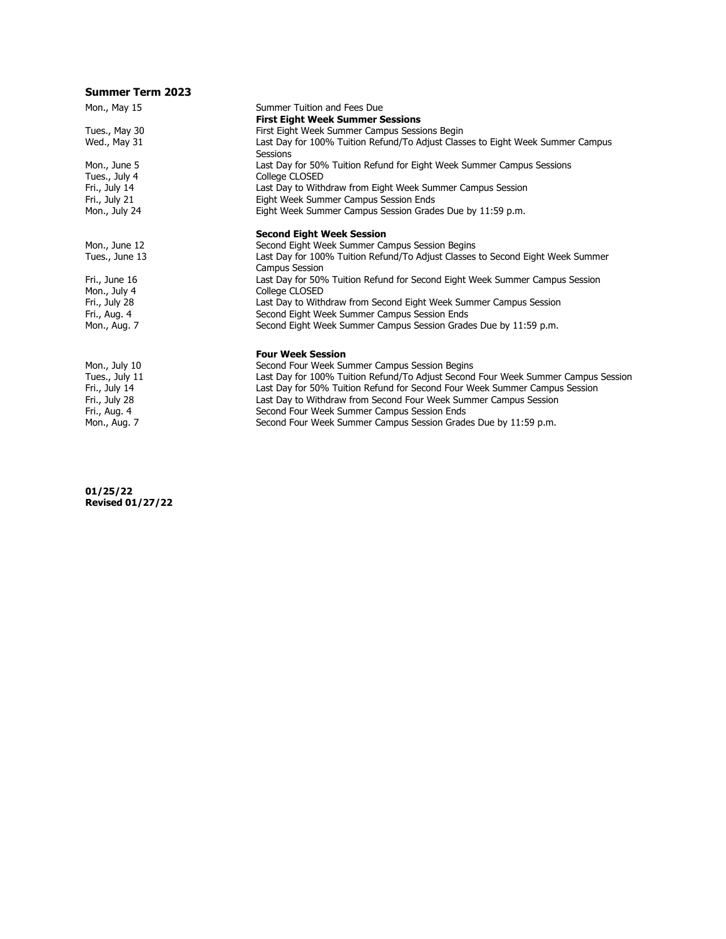### **Summer Term 2023**

| Mon., May 15   | Summer Tuition and Fees Due                                                                |
|----------------|--------------------------------------------------------------------------------------------|
|                | <b>First Eight Week Summer Sessions</b>                                                    |
| Tues., May 30  | First Eight Week Summer Campus Sessions Begin                                              |
| Wed., May 31   | Last Day for 100% Tuition Refund/To Adjust Classes to Eight Week Summer Campus<br>Sessions |
| Mon., June 5   | Last Day for 50% Tuition Refund for Eight Week Summer Campus Sessions                      |
| Tues., July 4  | College CLOSED                                                                             |
| Fri., July 14  | Last Day to Withdraw from Eight Week Summer Campus Session                                 |
| Fri., July 21  | Eight Week Summer Campus Session Ends                                                      |
| Mon., July 24  | Eight Week Summer Campus Session Grades Due by 11:59 p.m.                                  |
|                | <b>Second Eight Week Session</b>                                                           |
| Mon., June 12  | Second Eight Week Summer Campus Session Begins                                             |
| Tues., June 13 | Last Day for 100% Tuition Refund/To Adjust Classes to Second Eight Week Summer             |
|                | <b>Campus Session</b>                                                                      |
| Fri., June 16  | Last Day for 50% Tuition Refund for Second Eight Week Summer Campus Session                |
| Mon., July 4   | College CLOSED                                                                             |
| Fri., July 28  | Last Day to Withdraw from Second Eight Week Summer Campus Session                          |
| Fri., Aug. 4   | Second Eight Week Summer Campus Session Ends                                               |
| Mon., Aug. 7   | Second Eight Week Summer Campus Session Grades Due by 11:59 p.m.                           |
|                | <b>Four Week Session</b>                                                                   |
| Mon., July 10  | Second Four Week Summer Campus Session Begins                                              |
| Tues., July 11 | Last Day for 100% Tuition Refund/To Adjust Second Four Week Summer Campus Session          |
| Fri., July 14  | Last Day for 50% Tuition Refund for Second Four Week Summer Campus Session                 |
| Fri., July 28  | Last Day to Withdraw from Second Four Week Summer Campus Session                           |
| Fri., Aug. 4   | Second Four Week Summer Campus Session Ends                                                |
| Mon., Aug. 7   | Second Four Week Summer Campus Session Grades Due by 11:59 p.m.                            |
|                |                                                                                            |

**01/25/22 Revised 01/27/22**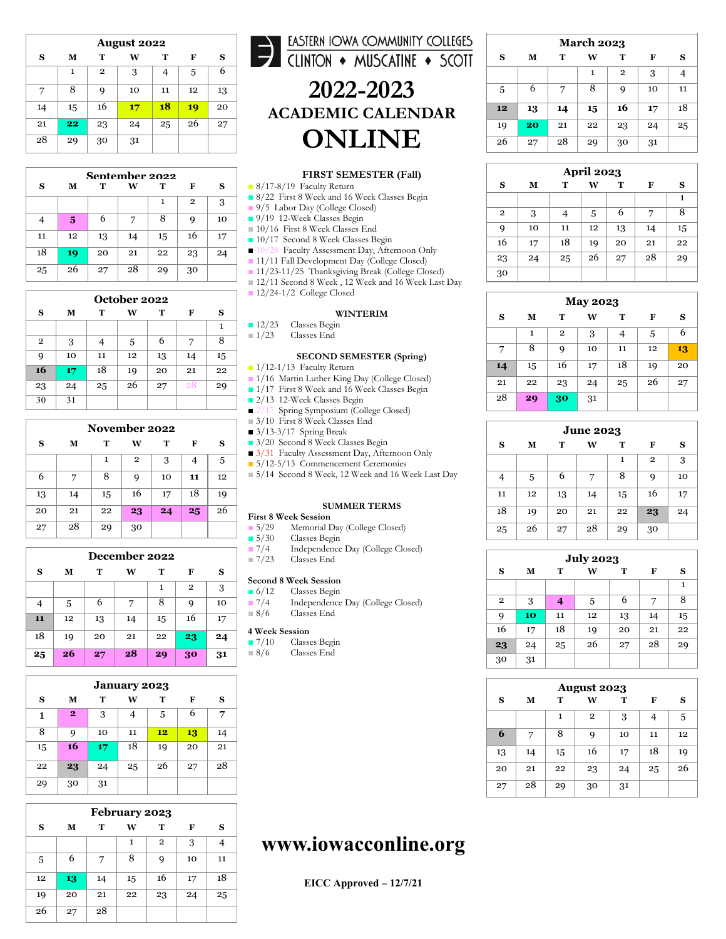| <b>August 2022</b> |    |                |    |    |    |    |  |
|--------------------|----|----------------|----|----|----|----|--|
| S                  | М  | т              | W  | т  | F  | S  |  |
|                    | 1  | $\overline{2}$ | 3  | 4  | 5  | 6  |  |
| 7                  | 8  | 9              | 10 | 11 | 12 | 13 |  |
| 14                 | 15 | 16             | 17 | 18 | 19 | 20 |  |
| 21                 | 22 | 23             | 24 | 25 | 26 | 27 |  |
| 28                 | 29 | 30             | 31 |    |    |    |  |

| Sentember 2022 |    |    |    |    |                |    |  |
|----------------|----|----|----|----|----------------|----|--|
| S              | М  | т  | w  | т  | F              | S  |  |
|                |    |    |    |    | $\overline{2}$ | 3  |  |
|                | 5  | 6  |    | 8  | 9              | 10 |  |
| 11             | 12 | 13 | 14 | 15 | 16             | 17 |  |
| 18             | 19 | 20 | 21 | 22 | 23             | 24 |  |
| 25             | 26 | 27 | 28 | 29 | 30             |    |  |

| October 2022   |    |    |    |    |    |    |  |  |
|----------------|----|----|----|----|----|----|--|--|
| s              | м  | т  | W  | т  | F  | s  |  |  |
|                |    |    |    |    |    | 1  |  |  |
| $\overline{2}$ | 3  |    | 5  | 6  | 7  | 8  |  |  |
| 9              | 10 | 11 | 12 | 13 | 14 | 15 |  |  |
| 16             | 17 | 18 | 19 | 20 | 21 | 22 |  |  |
| 23             | 24 | 25 | 26 | 27 | 28 | 29 |  |  |
| 30             | 31 |    |    |    |    |    |  |  |

| November 2022 |    |    |                |    |    |    |  |
|---------------|----|----|----------------|----|----|----|--|
| S             | М  | т  | w              | т  | F  | S  |  |
|               |    | 1  | $\overline{2}$ | 3  | 4  | 5  |  |
| 6             |    | 8  | 9              | 10 | 11 | 12 |  |
| 13            | 14 | 15 | 16             | 17 | 18 | 19 |  |
| 20            | 21 | 22 | 23             | 24 | 25 | 26 |  |
| 27            | 28 | 29 | 30             |    |    |    |  |

| December 2022 |                       |    |    |    |              |    |  |  |
|---------------|-----------------------|----|----|----|--------------|----|--|--|
| s             | т<br>М<br>т<br>F<br>W |    |    |    |              |    |  |  |
|               |                       |    |    | 1  | $\mathbf{2}$ | 3  |  |  |
| 4             | 5                     | 6  | 7  | 8  | 9            | 10 |  |  |
| 11            | 12                    | 13 | 14 | 15 | 16           | 17 |  |  |
| 18            | 19                    | 20 | 21 | 22 | 23           | 24 |  |  |
| 25            | 26                    | 27 | 28 | 29 | 30           | 31 |  |  |

| <b>January 2023</b> |                |    |    |    |    |    |  |
|---------------------|----------------|----|----|----|----|----|--|
| S                   | М              | т  | W  | т  | F  | S  |  |
| 1                   | $\overline{2}$ | 3  |    | 5  | 6  | 7  |  |
| 8                   | 9              | 10 | 11 | 12 | 13 | 14 |  |
| 15                  | 16             | 17 | 18 | 19 | 20 | 21 |  |
| 22                  | 23             | 24 | 25 | 26 | 27 | 28 |  |
| 29                  | 30             | 31 |    |    |    |    |  |

| February 2023 |    |    |    |                |    |    |  |  |
|---------------|----|----|----|----------------|----|----|--|--|
| S             | М  | т  | W  | т              | F  | S  |  |  |
|               |    |    | 1  | $\overline{2}$ | 3  |    |  |  |
| 5             | 6  | 7  | 8  | 9              | 10 | 11 |  |  |
| 12            | 13 | 14 | 15 | 16             | 17 | 18 |  |  |
| 19            | 20 | 21 | 22 | 23             | 24 | 25 |  |  |
| 26            | 27 | 28 |    |                |    |    |  |  |

# EASTERN IOWA COMMUNITY COLLEGES **2022 -2023 ACADEMIC CALENDAR ONLINE**

#### **FIRST SEMESTER (Fall)**

- 8/17-8/19 Faculty Return
- 8/22 First 8 Week and 16 Week Classes Begin
- 9/5 Labor Day (College Closed)
- 9/19 12-Week Classes Begin
- 10/16 First 8 Week Classes End
- 10/17 Second 8 Week Classes Begin
- 10/28 Faculty Assessment Day, Afternoon Only
- 11/11 Fall Development Day (College Closed)
- 11/23-11/25 Thanksgiving Break (College Closed) ■ 12/11 Second 8 Week, 12 Week and 16 Week Last Day ■ 12/24-1/2 College Closed
	- **WINTERIM**
- 12/23 Classes Begin<br>■ 1/23 Classes End

#### Classes End

#### **SECOND SEMESTER (Spring)**

■ 1/12-1/13 Faculty Return

- 1/16 Martin Luther King Day (College Closed)
- 1/17 First 8 Week and 16 Week Classes Begin
- 2/13 12-Week Classes Begin
- 2/17 Spring Symposium (College Closed)
- 3/10 First 8 Week Classes End
- 3/13-3/17 Spring Break
- 3/20 Second 8 Week Classes Begin
- 3/31 Faculty Assessment Day, Afternoon Only ■ 5/12-5/13 Commencement Ceremonies
- 5/14 Second 8 Week, 12 Week and 16 Week Last Day

#### **SUMMER TERMS**

- **First 8 Week Session**
- 5/29 Memorial Day (College Closed)<br>■ 5/30 Classes Begin
- 5/30 Classes Begin<br>■ 7/4 Independence
- 7/4 Independence Day (College Closed)<br>■ 7/23 Classes End Classes End
	-

## **Second 8 Week Session**<br>**B** 6/12 Classes Begin

- Classes Begin
- 7/4 Independence Day (College Closed)<br>■ 8/6 Classes End Classes End

## **4 Week Session**

- Classes Begin
- 8/6 Classes End

| <b>March 2023</b> |    |    |    |    |    |    |  |
|-------------------|----|----|----|----|----|----|--|
| S                 | М  | т  | W  | т  | F  | s  |  |
|                   |    |    | 1  | 2  | 3  |    |  |
| 5                 | 6  | 7  | 8  | 9  | 10 | 11 |  |
| 12                | 13 | 14 | 15 | 16 | 17 | 18 |  |
| 19                | 20 | 21 | 22 | 23 | 24 | 25 |  |
| 26                | 27 | 28 | 29 | 30 | 31 |    |  |

| <b>April 2023</b> |                       |    |    |    |    |    |  |  |
|-------------------|-----------------------|----|----|----|----|----|--|--|
| S                 | W<br>т<br>т<br>м<br>F |    |    |    |    |    |  |  |
|                   |                       |    |    |    |    | 1  |  |  |
| $\mathbf{2}$      | 3                     | 4  | 5  | 6  | 7  | 8  |  |  |
| 9                 | 10                    | 11 | 12 | 13 | 14 | 15 |  |  |
| 16                | 17                    | 18 | 19 | 20 | 21 | 22 |  |  |
| 23                | 24                    | 25 | 26 | 27 | 28 | 29 |  |  |
| 30                |                       |    |    |    |    |    |  |  |

| <b>May 2023</b> |                       |              |    |    |    |    |  |  |
|-----------------|-----------------------|--------------|----|----|----|----|--|--|
| S               | т<br>т<br>W<br>F<br>м |              |    |    |    |    |  |  |
|                 | 1                     | $\mathbf{2}$ | 3  | 4  | 5  | 6  |  |  |
| 7               | 8                     | 9            | 10 | 11 | 12 | 13 |  |  |
| 14              | 15                    | 16           | 17 | 18 | 19 | 20 |  |  |
| 21              | 22                    | 23           | 24 | 25 | 26 | 27 |  |  |
| 28              | 29                    | 30           | 31 |    |    |    |  |  |

| <b>June 2023</b> |    |    |    |    |              |    |
|------------------|----|----|----|----|--------------|----|
| S                | М  | т  | w  | т  | F            | s  |
|                  |    |    |    | 1  | $\mathbf{2}$ | 3  |
| 4                | 5  | 6  | 7  | 8  | 9            | 10 |
| 11               | 12 | 13 | 14 | 15 | 16           | 17 |
| 18               | 19 | 20 | 21 | 22 | 23           | 24 |
| 25               | 26 | 27 | 28 | 29 | 30           |    |

| <b>July 2023</b> |    |    |    |    |    |    |
|------------------|----|----|----|----|----|----|
| S                | М  | т  | W  | т  | F  | S  |
|                  |    |    |    |    |    | 1  |
| $\overline{2}$   | 3  | 4  | 5  | 6  | 7  | 8  |
| 9                | 10 | 11 | 12 | 13 | 14 | 15 |
| 16               | 17 | 18 | 19 | 20 | 21 | 22 |
| 23               | 24 | 25 | 26 | 27 | 28 | 29 |
| 30               | 31 |    |    |    |    |    |

| August 2023 |    |    |              |    |    |    |
|-------------|----|----|--------------|----|----|----|
| S           | М  | т  | W            | т  | F  | S  |
|             |    | 1  | $\mathbf{2}$ | 3  | 4  | 5  |
| 6           | 7  | 8  | 9            | 10 | 11 | 12 |
| 13          | 14 | 15 | 16           | 17 | 18 | 19 |
| 20          | 21 | 22 | 23           | 24 | 25 | 26 |
| 27          | 28 | 29 | 30           | 31 |    |    |

## **www.iowacconline.org**

**EICC Approved – 12/7/21**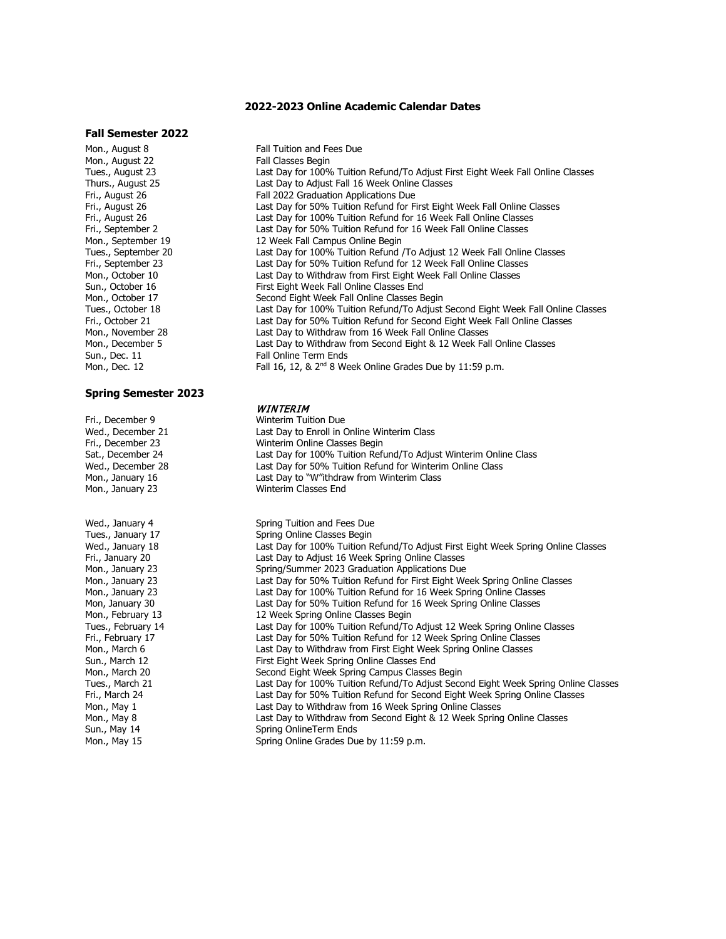#### **2022-2023 Online Academic Calendar Dates**

#### **Fall Semester 2022**

Mon., August 22<br>Tues., August 23

#### **Spring Semester 2023**

Fri., December 9 **Winterim Tuition Due**<br>
Wed., December 21 **Weden** Last Day to Enroll in C Wed., December 21 Last Day to Enroll in Online Winterim Class<br>
Fri., December 23 Winterim Online Classes Begin Fri., December 23 **Minterim Online Classes Begin**<br>
Sat., December 24 **Last Day for 100% Tuition Refi** Mon., January 16 **Last Day to "W"ithdraw from Winterim Class**<br>Mon., January 23 **Minterim Classes End** Wed., January 4 Wed., January 4 Spring Tuition and Fees Due<br>
Tues., January 17 Spring Online Classes Begin Tues., January 17 **Spring Online Classes Begin**<br>
Wed., January 18 **Spring Class Class Communist Class** Communist Class Class Class Class Class Class Class Class Fri., January 20 **East Day to Adjust 16 Week Spring Online Classes**<br>Mon., January 23 **Reginal Spring/Summer 2023 Graduation Applications Due** Mon., January 23 Spring/Summer 2023 Graduation Applications Due<br>Mon., January 23 Spring Last Day for 50% Tuition Refund for First Eight We Mon., February 13 12 Week Spring Online Classes Begin<br>Tues., February 14 12 12 Last Day for 100% Tuition Refund/To Sun., March 12 First Eight Week Spring Online Classes End Mon., March 20 Second Eight Week Spring Campus Classes Begin Sun., May 14 Spring OnlineTerm Ends<br>Mon., May 15 Spring Online Grades Du

Mon., August 8 **Fall Tuition and Fees Due**<br>Mon.. August 22 **Fall Classes Begin** Tues., August 23 Last Day for 100% Tuition Refund/To Adjust First Eight Week Fall Online Classes Thurs., August 25 **Last Day to Adjust Fall 16 Week Online Classes**<br>Fri., August 26 **Partic Last Pall 2022 Graduation Applications Due** Fri., August 26 Fall 2022 Graduation Applications Due<br>Fri., August 26 Fri., August 26 Fri., August 26 **Last Day for 50% Tuition Refund for First Eight Week Fall Online Classes**<br>Fri., August 26 **Fri., August 26** East Day for 100% Tuition Refund for 16 Week Fall Online Classes Fri., August 26 **Last Day for 100% Tuition Refund for 16 Week Fall Online Classes**<br>Fri., September 2 **Last Day for 50% Tuition Refund for 16 Week Fall Online Classes** Fri., September 2 Last Day for 50% Tuition Refund for 16 Week Fall Online Classes<br>Mon., September 19 12 Week Fall Campus Online Begin Mon., September 19 12 Week Fall Campus Online Begin<br>Tues., September 20 12 12 Last Day for 100% Tuition Refund Tues., September 20 Last Day for 100% Tuition Refund /To Adjust 12 Week Fall Online Classes Fri., September 23 Last Day for 50% Tuition Refund for 12 Week Fall Online Classes<br>Mon., October 10 Last Day to Withdraw from First Eight Week Fall Online Classes Mon., October 10 Last Day to Withdraw from First Eight Week Fall Online Classes Sun., October 16 First Eight Week Fall Online Classes End<br>Mon., October 17 First Eight Week Fall Online Classes B Mon., October 17 The Second Eight Week Fall Online Classes Begin<br>Tues., October 18 Tues Clast Day for 100% Tuition Refund/To Adjust Tues., October 18 **East Day for 100% Tuition Refund/To Adjust Second Eight Week Fall Online Classes**<br>Fri., October 21 **East Day for 50% Tuition Refund for Second Eight Week Fall Online Classes** Fri., October 21 **Exercise State 21** Last Day for 50% Tuition Refund for Second Eight Week Fall Online Classes<br>Mon., November 28 **Exercise State State Day to Withdraw from 16 Week Fall Online Classes** Mon., November 28 Last Day to Withdraw from 16 Week Fall Online Classes<br>Mon., December 5 Last Day to Withdraw from Second Eight & 12 Week Fall Last Day to Withdraw from Second Eight & 12 Week Fall Online Classes Sun., Dec. 11 Fall Online Term Ends<br>Mon., Dec. 12 Fall 16, 12, & 2<sup>nd</sup> 8 We Fall 16, 12, & 2<sup>nd</sup> 8 Week Online Grades Due by 11:59 p.m.

#### **WINTERIM**

Sat., December 24 Last Day for 100% Tuition Refund/To Adjust Winterim Online Class<br>Wed., December 28 Last Day for 50% Tuition Refund for Winterim Online Class Wed., December 28 Last Day for 50% Tuition Refund for Winterim Online Class<br>Mon., January 16 **Montage Last Day to "W**"ithdraw from Winterim Class Winterim Classes End

Wed., January 18 **Last Day for 100% Tuition Refund/To Adjust** First Eight Week Spring Online Classes<br>Fri., January 20 **East Day to Adjust 16 Week Spring Online Classes** Mon., January 23 **Example 23** Last Day for 50% Tuition Refund for First Eight Week Spring Online Classes<br>Mon., January 23 **Mon.** Last Day for 100% Tuition Refund for 16 Week Spring Online Classes Last Day for 100% Tuition Refund for 16 Week Spring Online Classes Mon, January 30 **Last Day for 50% Tuition Refund for 16 Week Spring Online Classes**<br>Mon., February 13 **Monta the Spring Online Classes Begin** Tues., February 14 **Last Day for 100% Tuition Refund/To Adjust 12 Week Spring Online Classes**<br>Fri., February 17 **First Classes** Last Day for 50% Tuition Refund for 12 Week Spring Online Classes Fri., February 17 **Example 2** Last Day for 50% Tuition Refund for 12 Week Spring Online Classes<br>Mon., March 6 **Mon., March 6** Last Day to Withdraw from First Eight Week Spring Online Classes Mon., March 6 **Last Day to Withdraw from First Eight Week Spring Online Classes**<br>Sun., March 12 **Start Eight Week Spring Online Classes End** Last Day for 100% Tuition Refund/To Adjust Second Eight Week Spring Online Classes Fri., March 24 Last Day for 50% Tuition Refund for Second Eight Week Spring Online Classes Mon., May 1 **Mon., May 1 Last Day to Withdraw from 16 Week Spring Online Classes**<br>Mon., May 8 Mon., May 8 Mon., May 8 **No. 2018** Last Day to Withdraw from Second Eight & 12 Week Spring Online Classes<br>
Sun., May 14 Spring Online Term Ends Spring Online Grades Due by 11:59 p.m.